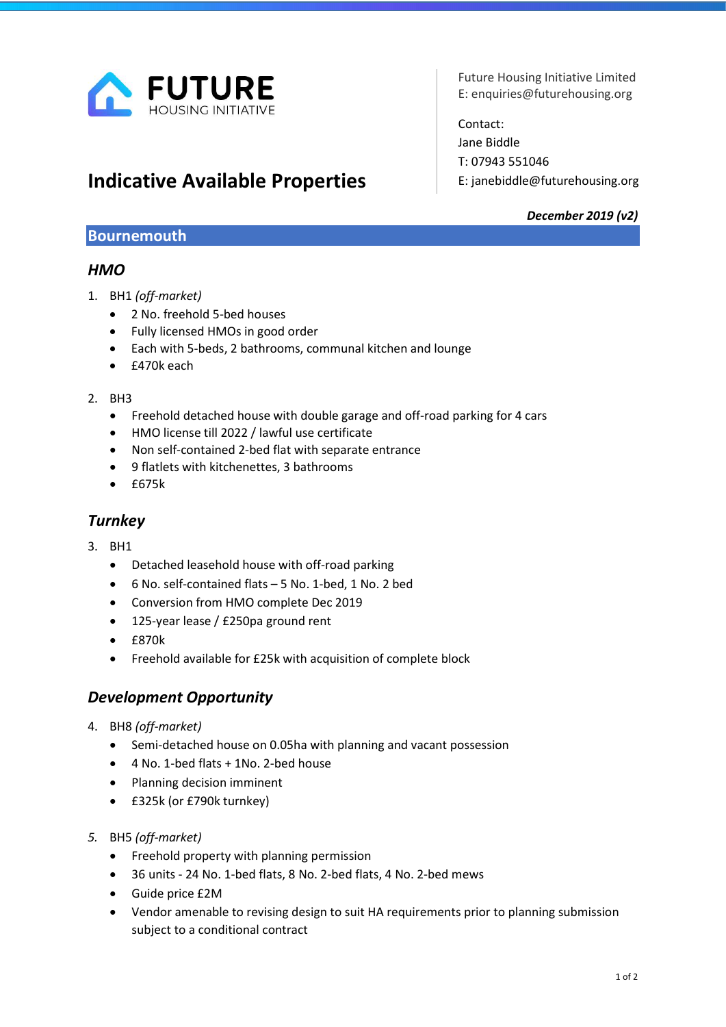

# Indicative Available Properties

Future Housing Initiative Limited E: enquiries@futurehousing.org

Contact: Jane Biddle T: 07943 551046 E: janebiddle@futurehousing.org

#### December 2019 (v2)

#### Bournemouth

## **HMO**

- 1. BH1 (off-market)
	- 2 No. freehold 5-bed houses
	- Fully licensed HMOs in good order
	- Each with 5-beds, 2 bathrooms, communal kitchen and lounge
	- £470k each

#### $2.$  RH3

- Freehold detached house with double garage and off-road parking for 4 cars
- HMO license till 2022 / lawful use certificate
- Non self-contained 2-bed flat with separate entrance
- 9 flatlets with kitchenettes, 3 bathrooms
- £675k

# **Turnkey**

- 3. BH1
	- Detached leasehold house with off-road parking
	- 6 No. self-contained flats 5 No. 1-bed, 1 No. 2 bed
	- Conversion from HMO complete Dec 2019
	- 125-year lease / £250pa ground rent
	- £870k
	- Freehold available for £25k with acquisition of complete block

# Development Opportunity

- 4. BH8 (off-market)
	- Semi-detached house on 0.05ha with planning and vacant possession
	- 4 No. 1-bed flats + 1No. 2-bed house
	- Planning decision imminent
	- £325k (or £790k turnkey)
- 5. BH5 (off-market)
	- Freehold property with planning permission
	- 36 units 24 No. 1-bed flats, 8 No. 2-bed flats, 4 No. 2-bed mews
	- Guide price £2M
	- Vendor amenable to revising design to suit HA requirements prior to planning submission subject to a conditional contract